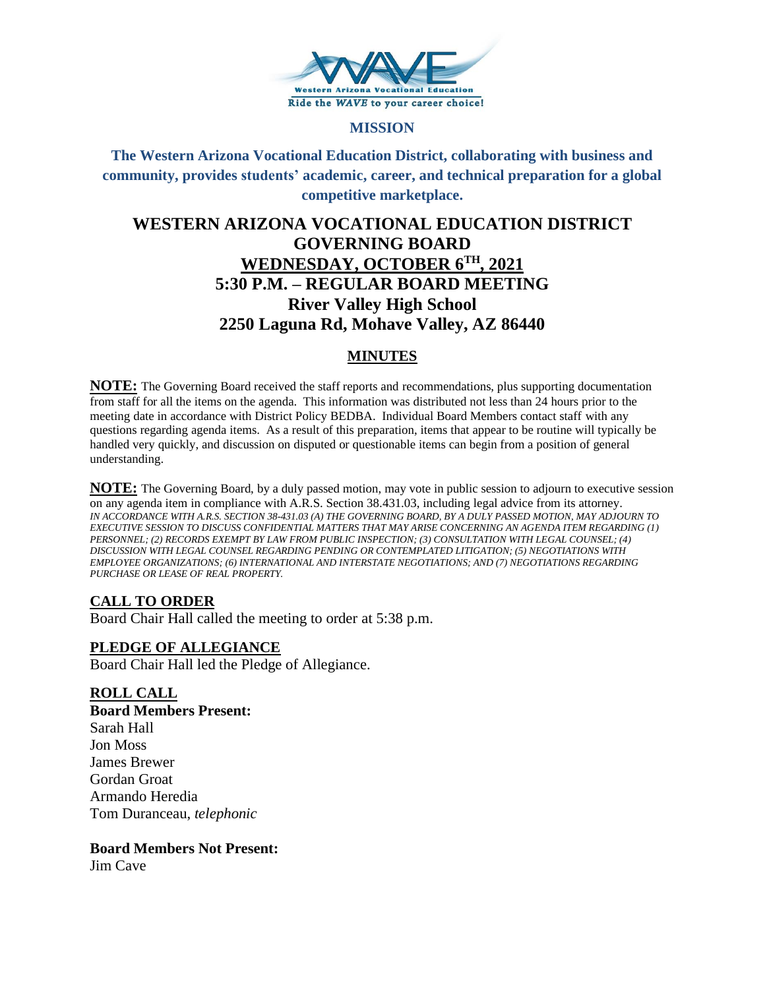

## **MISSION**

**The Western Arizona Vocational Education District, collaborating with business and community, provides students' academic, career, and technical preparation for a global competitive marketplace.**

# **WESTERN ARIZONA VOCATIONAL EDUCATION DISTRICT GOVERNING BOARD WEDNESDAY, OCTOBER 6TH, 2021 5:30 P.M. – REGULAR BOARD MEETING River Valley High School 2250 Laguna Rd, Mohave Valley, AZ 86440**

## **MINUTES**

**NOTE:** The Governing Board received the staff reports and recommendations, plus supporting documentation from staff for all the items on the agenda. This information was distributed not less than 24 hours prior to the meeting date in accordance with District Policy BEDBA. Individual Board Members contact staff with any questions regarding agenda items. As a result of this preparation, items that appear to be routine will typically be handled very quickly, and discussion on disputed or questionable items can begin from a position of general understanding.

**NOTE:** The Governing Board, by a duly passed motion, may vote in public session to adjourn to executive session on any agenda item in compliance with A.R.S. Section 38.431.03, including legal advice from its attorney. *IN ACCORDANCE WITH A.R.S. SECTION 38-431.03 (A) THE GOVERNING BOARD, BY A DULY PASSED MOTION, MAY ADJOURN TO EXECUTIVE SESSION TO DISCUSS CONFIDENTIAL MATTERS THAT MAY ARISE CONCERNING AN AGENDA ITEM REGARDING (1) PERSONNEL; (2) RECORDS EXEMPT BY LAW FROM PUBLIC INSPECTION; (3) CONSULTATION WITH LEGAL COUNSEL; (4) DISCUSSION WITH LEGAL COUNSEL REGARDING PENDING OR CONTEMPLATED LITIGATION; (5) NEGOTIATIONS WITH EMPLOYEE ORGANIZATIONS; (6) INTERNATIONAL AND INTERSTATE NEGOTIATIONS; AND (7) NEGOTIATIONS REGARDING PURCHASE OR LEASE OF REAL PROPERTY.*

## **CALL TO ORDER**

Board Chair Hall called the meeting to order at 5:38 p.m.

## **PLEDGE OF ALLEGIANCE**

Board Chair Hall led the Pledge of Allegiance.

## **ROLL CALL**

**Board Members Present:** Sarah Hall Jon Moss James Brewer Gordan Groat Armando Heredia Tom Duranceau, *telephonic*

#### **Board Members Not Present:**

Jim Cave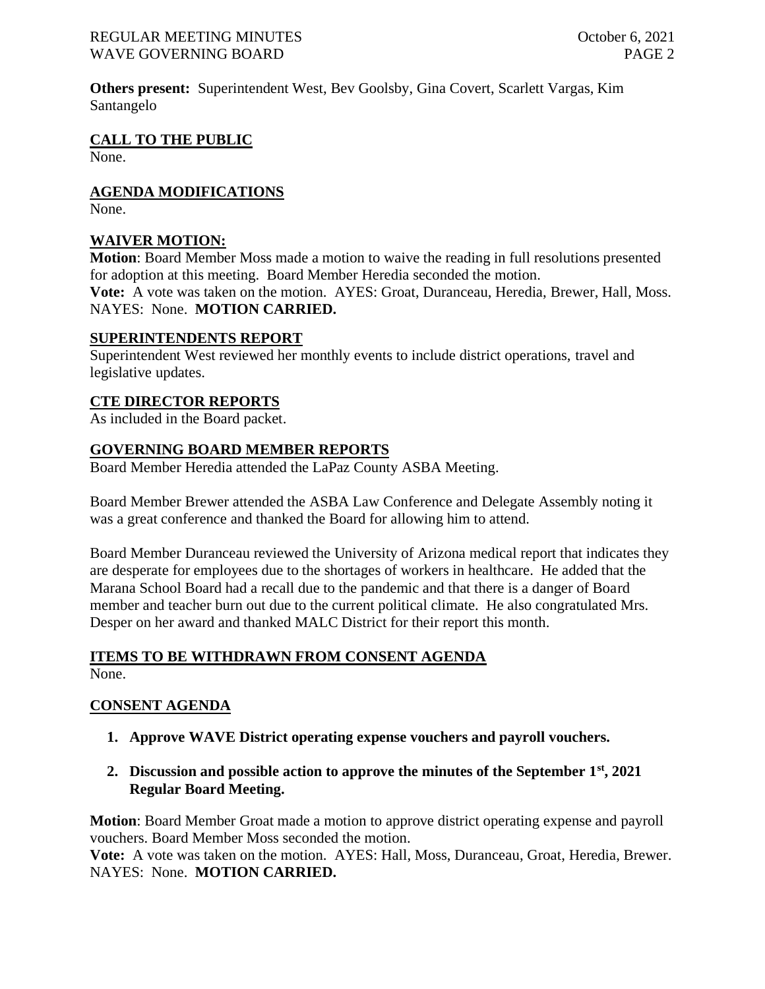#### REGULAR MEETING MINUTES CONSERVERSE CONSERVERSE CONSERVERSE October 6, 2021 WAVE GOVERNING BOARD **PAGE 2**

**Others present:** Superintendent West, Bev Goolsby, Gina Covert, Scarlett Vargas, Kim Santangelo

**CALL TO THE PUBLIC**

None.

**AGENDA MODIFICATIONS**

None.

## **WAIVER MOTION:**

**Motion**: Board Member Moss made a motion to waive the reading in full resolutions presented for adoption at this meeting. Board Member Heredia seconded the motion. **Vote:** A vote was taken on the motion. AYES: Groat, Duranceau, Heredia, Brewer, Hall, Moss. NAYES: None. **MOTION CARRIED.**

#### **SUPERINTENDENTS REPORT**

Superintendent West reviewed her monthly events to include district operations, travel and legislative updates.

## **CTE DIRECTOR REPORTS**

As included in the Board packet.

## **GOVERNING BOARD MEMBER REPORTS**

Board Member Heredia attended the LaPaz County ASBA Meeting.

Board Member Brewer attended the ASBA Law Conference and Delegate Assembly noting it was a great conference and thanked the Board for allowing him to attend.

Board Member Duranceau reviewed the University of Arizona medical report that indicates they are desperate for employees due to the shortages of workers in healthcare. He added that the Marana School Board had a recall due to the pandemic and that there is a danger of Board member and teacher burn out due to the current political climate. He also congratulated Mrs. Desper on her award and thanked MALC District for their report this month.

## **ITEMS TO BE WITHDRAWN FROM CONSENT AGENDA**

None.

## **CONSENT AGENDA**

- **1. Approve WAVE District operating expense vouchers and payroll vouchers.**
- **2. Discussion and possible action to approve the minutes of the September 1st, 2021 Regular Board Meeting.**

**Motion**: Board Member Groat made a motion to approve district operating expense and payroll vouchers. Board Member Moss seconded the motion.

**Vote:** A vote was taken on the motion. AYES: Hall, Moss, Duranceau, Groat, Heredia, Brewer. NAYES: None. **MOTION CARRIED.**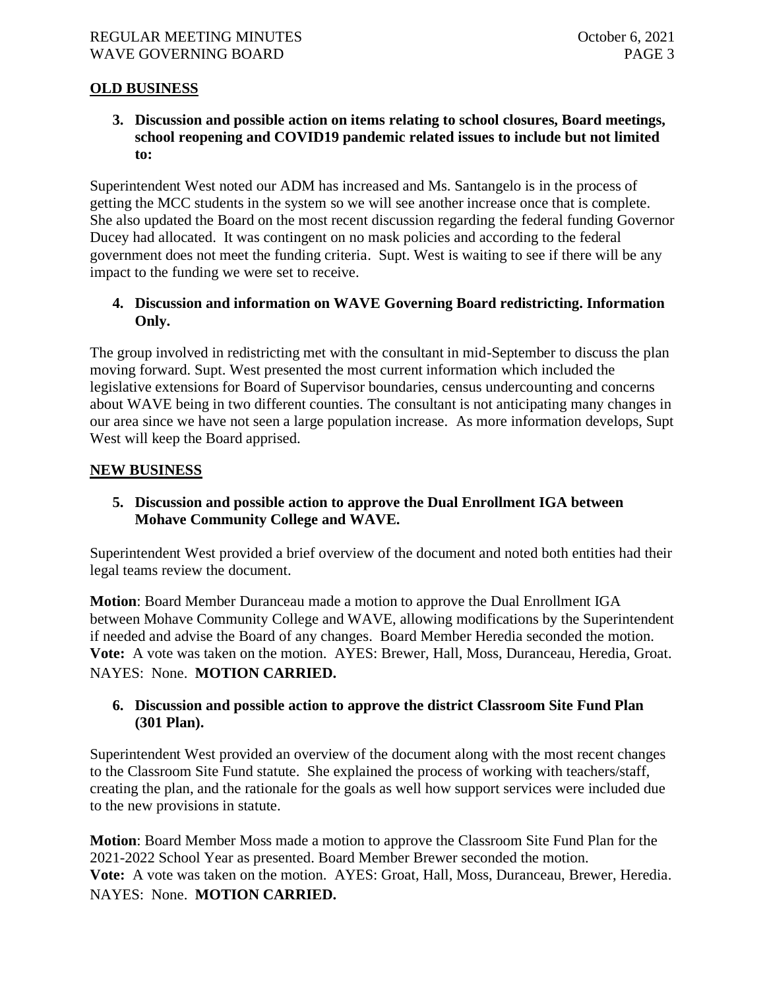## **OLD BUSINESS**

**3. Discussion and possible action on items relating to school closures, Board meetings, school reopening and COVID19 pandemic related issues to include but not limited to:**

Superintendent West noted our ADM has increased and Ms. Santangelo is in the process of getting the MCC students in the system so we will see another increase once that is complete. She also updated the Board on the most recent discussion regarding the federal funding Governor Ducey had allocated. It was contingent on no mask policies and according to the federal government does not meet the funding criteria. Supt. West is waiting to see if there will be any impact to the funding we were set to receive.

## **4. Discussion and information on WAVE Governing Board redistricting. Information Only.**

The group involved in redistricting met with the consultant in mid-September to discuss the plan moving forward. Supt. West presented the most current information which included the legislative extensions for Board of Supervisor boundaries, census undercounting and concerns about WAVE being in two different counties. The consultant is not anticipating many changes in our area since we have not seen a large population increase. As more information develops, Supt West will keep the Board apprised.

#### **NEW BUSINESS**

## **5. Discussion and possible action to approve the Dual Enrollment IGA between Mohave Community College and WAVE.**

Superintendent West provided a brief overview of the document and noted both entities had their legal teams review the document.

**Motion**: Board Member Duranceau made a motion to approve the Dual Enrollment IGA between Mohave Community College and WAVE, allowing modifications by the Superintendent if needed and advise the Board of any changes. Board Member Heredia seconded the motion. **Vote:** A vote was taken on the motion. AYES: Brewer, Hall, Moss, Duranceau, Heredia, Groat. NAYES: None. **MOTION CARRIED.**

## **6. Discussion and possible action to approve the district Classroom Site Fund Plan (301 Plan).**

Superintendent West provided an overview of the document along with the most recent changes to the Classroom Site Fund statute. She explained the process of working with teachers/staff, creating the plan, and the rationale for the goals as well how support services were included due to the new provisions in statute.

**Motion**: Board Member Moss made a motion to approve the Classroom Site Fund Plan for the 2021-2022 School Year as presented. Board Member Brewer seconded the motion. **Vote:** A vote was taken on the motion. AYES: Groat, Hall, Moss, Duranceau, Brewer, Heredia. NAYES: None. **MOTION CARRIED.**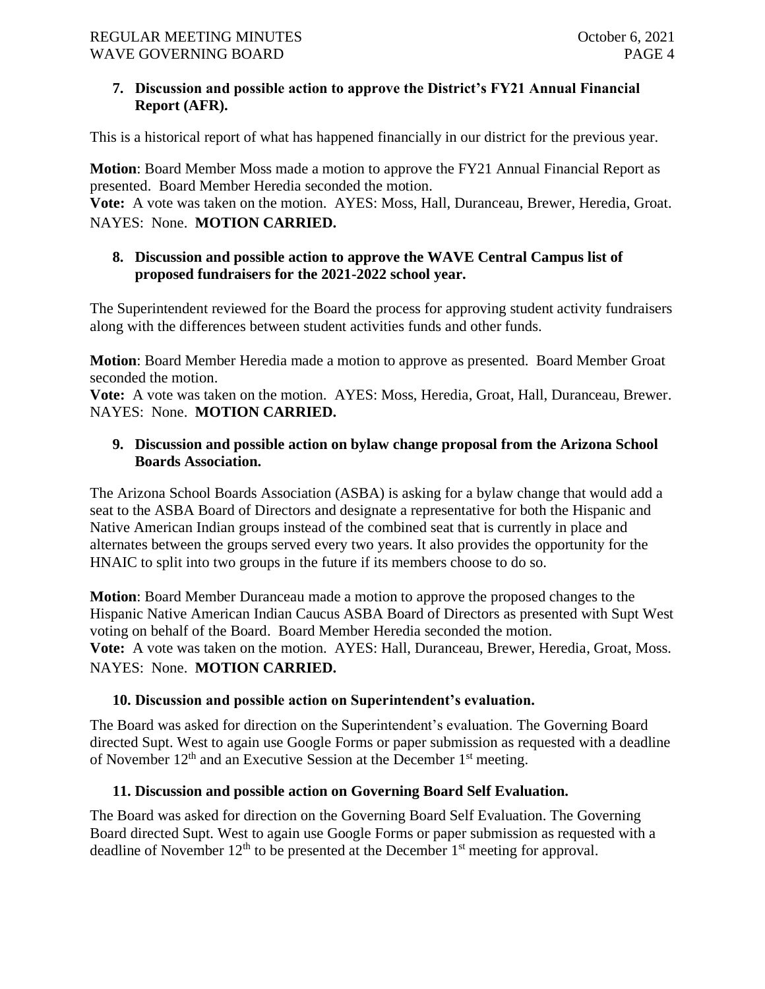## **7. Discussion and possible action to approve the District's FY21 Annual Financial Report (AFR).**

This is a historical report of what has happened financially in our district for the previous year.

**Motion**: Board Member Moss made a motion to approve the FY21 Annual Financial Report as presented. Board Member Heredia seconded the motion.

**Vote:** A vote was taken on the motion. AYES: Moss, Hall, Duranceau, Brewer, Heredia, Groat. NAYES: None. **MOTION CARRIED.**

## **8. Discussion and possible action to approve the WAVE Central Campus list of proposed fundraisers for the 2021-2022 school year.**

The Superintendent reviewed for the Board the process for approving student activity fundraisers along with the differences between student activities funds and other funds.

**Motion**: Board Member Heredia made a motion to approve as presented. Board Member Groat seconded the motion.

**Vote:** A vote was taken on the motion. AYES: Moss, Heredia, Groat, Hall, Duranceau, Brewer. NAYES: None. **MOTION CARRIED.**

## **9. Discussion and possible action on bylaw change proposal from the Arizona School Boards Association.**

The Arizona School Boards Association (ASBA) is asking for a bylaw change that would add a seat to the ASBA Board of Directors and designate a representative for both the Hispanic and Native American Indian groups instead of the combined seat that is currently in place and alternates between the groups served every two years. It also provides the opportunity for the HNAIC to split into two groups in the future if its members choose to do so.

**Motion**: Board Member Duranceau made a motion to approve the proposed changes to the Hispanic Native American Indian Caucus ASBA Board of Directors as presented with Supt West voting on behalf of the Board. Board Member Heredia seconded the motion. **Vote:** A vote was taken on the motion. AYES: Hall, Duranceau, Brewer, Heredia, Groat, Moss. NAYES: None. **MOTION CARRIED.**

## **10. Discussion and possible action on Superintendent's evaluation.**

The Board was asked for direction on the Superintendent's evaluation. The Governing Board directed Supt. West to again use Google Forms or paper submission as requested with a deadline of November  $12<sup>th</sup>$  and an Executive Session at the December  $1<sup>st</sup>$  meeting.

## **11. Discussion and possible action on Governing Board Self Evaluation.**

The Board was asked for direction on the Governing Board Self Evaluation. The Governing Board directed Supt. West to again use Google Forms or paper submission as requested with a deadline of November  $12<sup>th</sup>$  to be presented at the December  $1<sup>st</sup>$  meeting for approval.